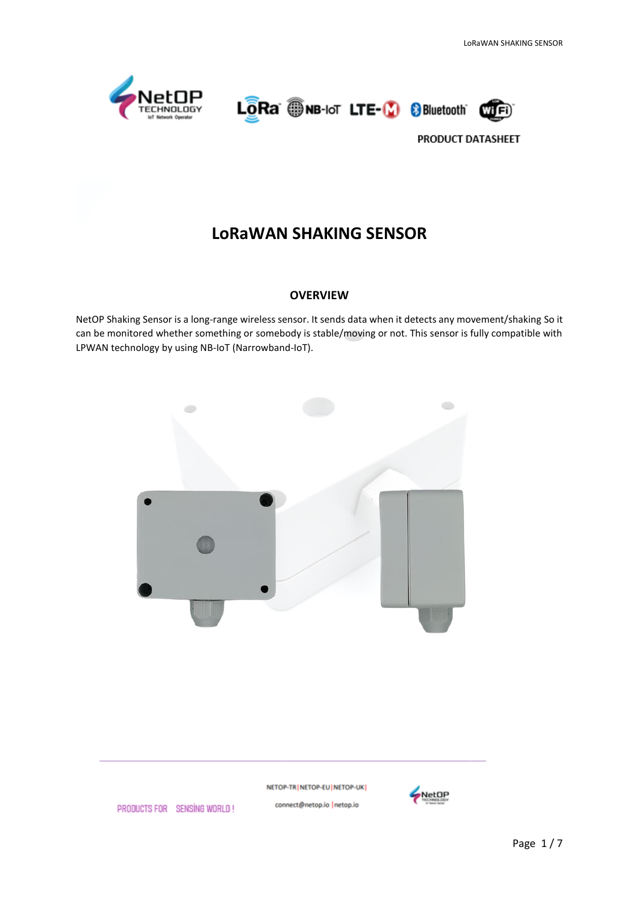





# **LoRaWAN SHAKING SENSOR**

#### **OVERVIEW**

NetOP Shaking Sensor is a long-range wireless sensor. It sends data when it detects any movement/shaking So it can be monitored whether something or somebody is stable/moving or not. This sensor is fully compatible with LPWAN technology by using NB-IoT (Narrowband-IoT).



NETOP-TR | NETOP-EU | NETOP-UK |

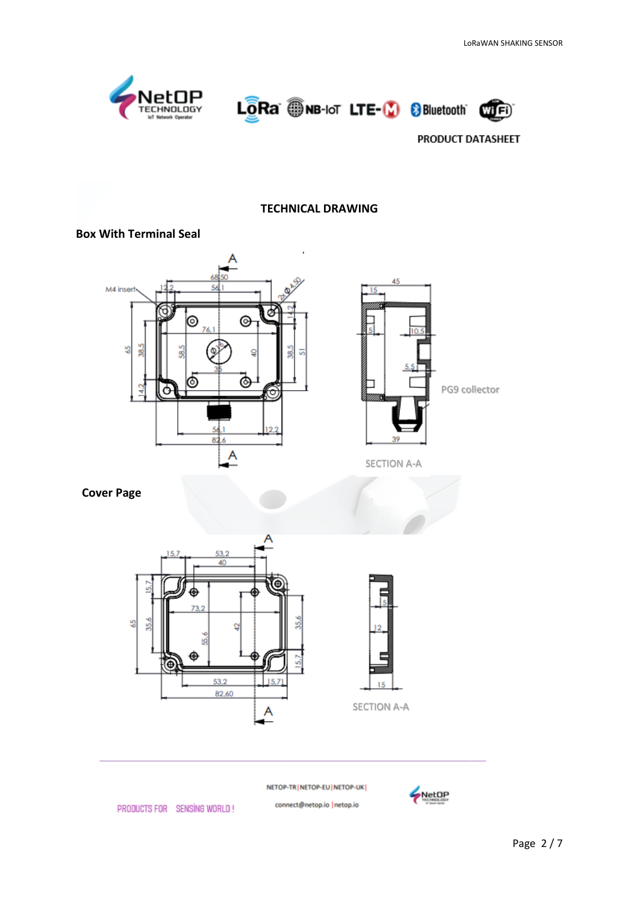





#### **TECHNICAL DRAWING**

#### **Box With Terminal Seal**





SECTION A-A

### **Cover Page**





NETOP-TR | NETOP-EU | NETOP-UK |

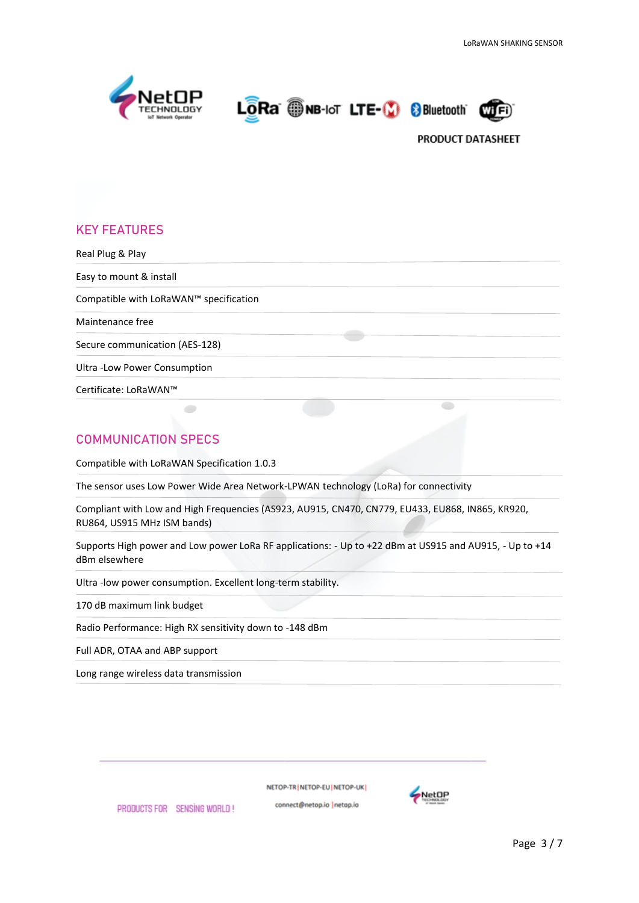





## **KEY FEATURES**

Real Plug & Play Easy to mount & install Compatible with LoRaWAN™ specification Maintenance free Secure communication (AES-128) Ultra -Low Power Consumption Certificate: LoRaWAN™  $\bullet$ 

## **COMMUNICATION SPECS**

Compatible with LoRaWAN Specification 1.0.3

The sensor uses Low Power Wide Area Network-LPWAN technology (LoRa) for connectivity

Compliant with Low and High Frequencies (AS923, AU915, CN470, CN779, EU433, EU868, IN865, KR920, RU864, US915 MHz ISM bands)

Supports High power and Low power LoRa RF applications: - Up to +22 dBm at US915 and AU915, - Up to +14 dBm elsewhere

Ultra -low power consumption. Excellent long-term stability.

170 dB maximum link budget

Radio Performance: High RX sensitivity down to -148 dBm

Full ADR, OTAA and ABP support

Long range wireless data transmission

NETOP-TRINETOP-EUINETOP-UKI

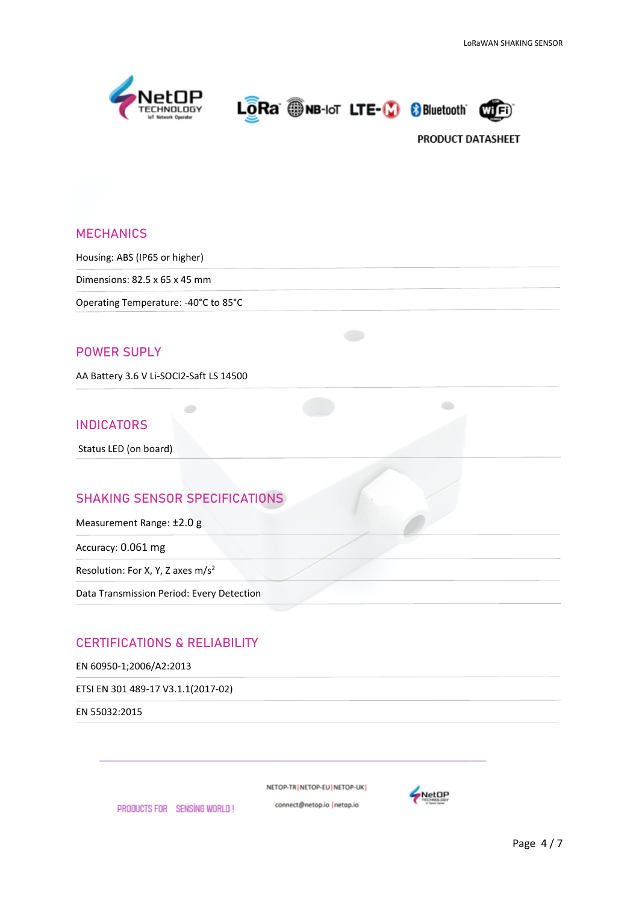





### **MECHANICS**

Housing: ABS (IP65 or higher)

Dimensions: 82.5 x 65 x 45 mm

Operating Temperature: -40°C to 85°C

### **POWER SUPLY**

AA Battery 3.6 V Li-SOCI2-Saft LS 14500

#### **INDICATORS**

Status LED (on board)

### **SHAKING SENSOR SPECIFICATIONS**

Measurement Range: ±2.0 g

Accuracy: 0.061 mg

Resolution: For X, Y, Z axes m/s<sup>2</sup>

Data Transmission Period: Every Detection

### **CERTIFICATIONS & RELIABILITY**

PRODUCTS FOR SENSING WORLD!

EN 60950-1;2006/A2:2013

ETSI EN 301 489-17 V3.1.1(2017-02)

EN 55032:2015

NETOP-TR NETOP-EU NETOP-UK

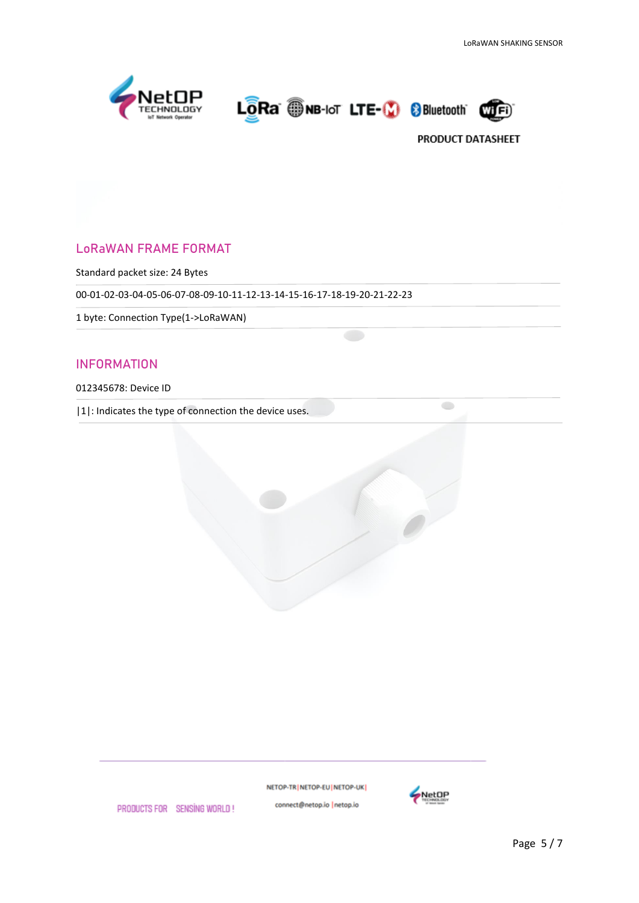





 $\bigcirc$ 

### **LoRaWAN FRAME FORMAT**

Standard packet size: 24 Bytes

00-01-02-03-04-05-06-07-08-09-10-11-12-13-14-15-16-17-18-19-20-21-22-23

1 byte: Connection Type(1->LoRaWAN)

### **INFORMATION**

#### 012345678: Device ID

|1|: Indicates the type of connection the device uses.





PRODUCTS FOR SENSING WORLD!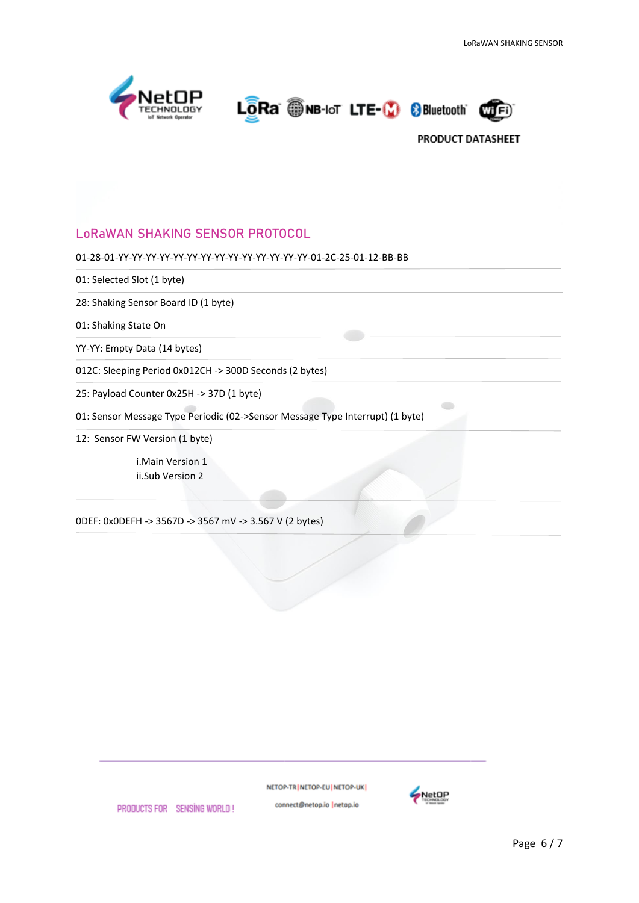





### **LoRaWAN SHAKING SENSOR PROTOCOL**

01-28-01-YY-YY-YY-YY-YY-YY-YY-YY-YY-YY-YY-YY-YY-YY-01-2C-25-01-12-BB-BB

01: Selected Slot (1 byte)

28: Shaking Sensor Board ID (1 byte)

01: Shaking State On

YY-YY: Empty Data (14 bytes)

012C: Sleeping Period 0x012CH -> 300D Seconds (2 bytes)

25: Payload Counter 0x25H -> 37D (1 byte)

01: Sensor Message Type Periodic (02->Sensor Message Type Interrupt) (1 byte)

12: Sensor FW Version (1 byte)

i.Main Version 1 ii.Sub Version 2

0DEF: 0x0DEFH -> 3567D -> 3567 mV -> 3.567 V (2 bytes)

NETOP-TR NETOP-EU NETOP-UK connect@netop.io |netop.io



PRODUCTS FOR SENSING WORLD!

Page 6 / 7